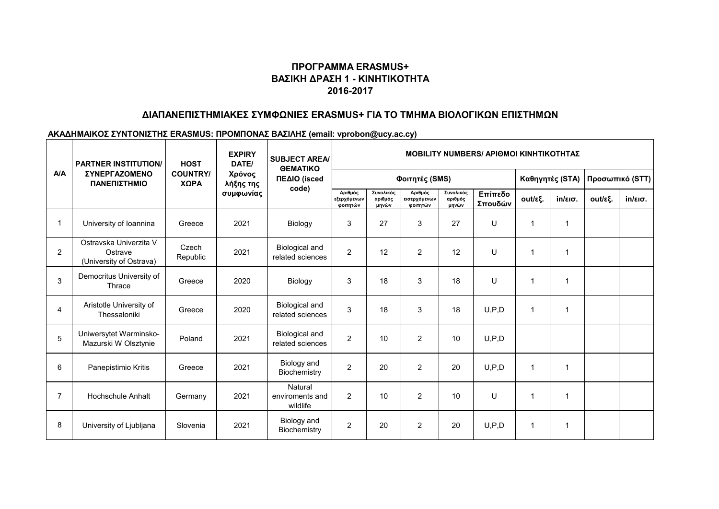# **ΠΡΟΓΡΑΜΜΑ ERASMUS+ ΒΑΣΙΚΗ ΔΡΑΣΗ 1 - ΚΙΝΗΤΙΚΟΤΗΤΑ 2016-2017**

## **ΔΙΑΠΑΝΕΠΙΣΤΗΜΙΑΚΕΣ ΣΥΜΦΩΝΙΕΣ ERASMUS+ ΓΙΑ ΤΟ ΤΜΗΜΑ ΒΙΟΛΟΓΙΚΩΝ ΕΠΙΣΤΗΜΩΝ**

## **ΑΚΑΔΗΜΑΙΚΟΣ ΣΥΝΤΟΝΙΣΤΗΣ ERASMUS: ΠΡΟΜΠΟΝΑΣ ΒΑΣΙΛΗΣ (email: vprobon@ucy.ac.cy)**

| A/A            | <b>PARTNER INSTITUTION/</b><br><b>ΣΥΝΕΡΓΑΖΟΜΕΝΟ</b><br>ΠΑΝΕΠΙΣΤΗΜΙΟ | <b>HOST</b><br><b>COUNTRY/</b><br>ΧΩΡΑ | <b>EXPIRY</b><br>DATE/<br>Χρόνος<br>λήξης της<br>συμφωνίας | <b>SUBJECT AREA/</b><br><b>OEMATIKO</b><br>ΠΕΔΙΟ (isced<br>code) | <b>MOBILITY NUMBERS/ APIOMOI KINHTIKOTHTAZ</b> |                               |                                     |                               |                    |                         |                   |                 |                   |  |
|----------------|---------------------------------------------------------------------|----------------------------------------|------------------------------------------------------------|------------------------------------------------------------------|------------------------------------------------|-------------------------------|-------------------------------------|-------------------------------|--------------------|-------------------------|-------------------|-----------------|-------------------|--|
|                |                                                                     |                                        |                                                            |                                                                  | Φοιτητές (SMS)                                 |                               |                                     |                               |                    | Καθηγητές (STA)         |                   | Προσωπικό (STT) |                   |  |
|                |                                                                     |                                        |                                                            |                                                                  | Αριθμός<br>εξερχόμενων<br>φοιτητών             | Συνολικός<br>αριθμός<br>μηνών | Αριθμός<br>εισερχόμενων<br>φοιτητών | Συνολικός<br>αριθμός<br>μηνών | Επίπεδο<br>Σπουδών | out/εξ.                 | $in/\epsilon$ ισ. | out/εξ.         | $in/\epsilon$ ισ. |  |
| 1              | University of Ioannina                                              | Greece                                 | 2021                                                       | Biology                                                          | 3                                              | 27                            | 3                                   | 27                            | U                  | 1                       | 1                 |                 |                   |  |
| $\overline{2}$ | Ostravska Univerzita V<br>Ostrave<br>(University of Ostrava)        | Czech<br>Republic                      | 2021                                                       | Biological and<br>related sciences                               | $\overline{2}$                                 | 12                            | $\overline{2}$                      | 12                            | U                  | $\overline{\mathbf{1}}$ | 1                 |                 |                   |  |
| 3              | Democritus University of<br>Thrace                                  | Greece                                 | 2020                                                       | Biology                                                          | 3                                              | 18                            | 3                                   | 18                            | U                  | 1                       | 1                 |                 |                   |  |
| 4              | Aristotle University of<br>Thessaloniki                             | Greece                                 | 2020                                                       | Biological and<br>related sciences                               | 3                                              | 18                            | 3                                   | 18                            | U.P.D              | 1                       | 1                 |                 |                   |  |
| 5              | Uniwersytet Warminsko-<br>Mazurski W Olsztynie                      | Poland                                 | 2021                                                       | Biological and<br>related sciences                               | $\overline{2}$                                 | 10                            | $\overline{2}$                      | 10                            | U, P, D            |                         |                   |                 |                   |  |
| 6              | Panepistimio Kritis                                                 | Greece                                 | 2021                                                       | Biology and<br>Biochemistry                                      | $\overline{2}$                                 | 20                            | $\overline{2}$                      | 20                            | U, P, D            | 1                       | 1                 |                 |                   |  |
| $\overline{7}$ | Hochschule Anhalt                                                   | Germany                                | 2021                                                       | Natural<br>enviroments and<br>wildlife                           | $\overline{2}$                                 | 10                            | $\overline{2}$                      | 10                            | U                  | 1                       | 1                 |                 |                   |  |
| 8              | University of Ljubljana                                             | Slovenia                               | 2021                                                       | Biology and<br>Biochemistry                                      | $\overline{2}$                                 | 20                            | $\overline{2}$                      | 20                            | U, P, D            | 1                       | 1                 |                 |                   |  |